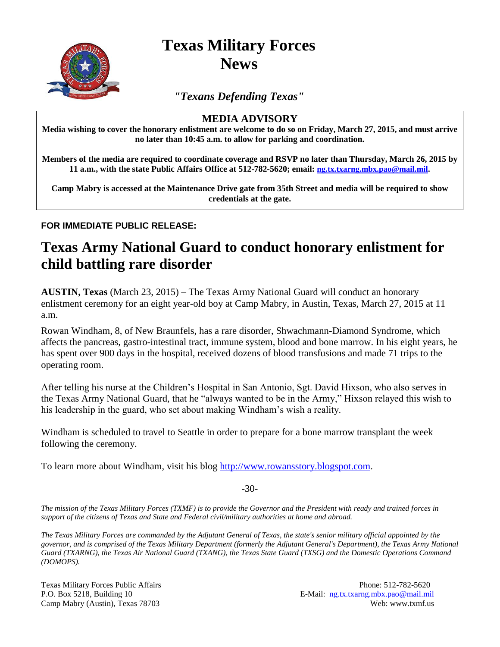

**Texas Military Forces News**

*"Texans Defending Texas"*

## **MEDIA ADVISORY**

**Media wishing to cover the honorary enlistment are welcome to do so on Friday, March 27, 2015, and must arrive no later than 10:45 a.m. to allow for parking and coordination.**

**Members of the media are required to coordinate coverage and RSVP no later than Thursday, March 26, 2015 by 11 a.m., with the state Public Affairs Office at 512-782-5620; email: [ng.tx.txarng.mbx.pao@mail.mil.](mailto:ng.tx.txarng.mbx.pao@mail.mil)**

**Camp Mabry is accessed at the Maintenance Drive gate from 35th Street and media will be required to show credentials at the gate.**

## **FOR IMMEDIATE PUBLIC RELEASE:**

## **Texas Army National Guard to conduct honorary enlistment for child battling rare disorder**

**AUSTIN, Texas** (March 23, 2015) – The Texas Army National Guard will conduct an honorary enlistment ceremony for an eight year-old boy at Camp Mabry, in Austin, Texas, March 27, 2015 at 11 a.m.

Rowan Windham, 8, of New Braunfels, has a rare disorder, Shwachmann-Diamond Syndrome, which affects the pancreas, gastro-intestinal tract, immune system, blood and bone marrow. In his eight years, he has spent over 900 days in the hospital, received dozens of blood transfusions and made 71 trips to the operating room.

After telling his nurse at the Children's Hospital in San Antonio, Sgt. David Hixson, who also serves in the Texas Army National Guard, that he "always wanted to be in the Army," Hixson relayed this wish to his leadership in the guard, who set about making Windham's wish a reality.

Windham is scheduled to travel to Seattle in order to prepare for a bone marrow transplant the week following the ceremony.

To learn more about Windham, visit his blog [http://www.rowansstory.blogspot.com.](http://www.rowansstory.blogspot.com/)

-30-

*The mission of the Texas Military Forces (TXMF) is to provide the Governor and the President with ready and trained forces in support of the citizens of Texas and State and Federal civil/military authorities at home and abroad.*

*The Texas Military Forces are commanded by the Adjutant General of Texas, the state's senior military official appointed by the governor, and is comprised of the Texas Military Department (formerly the Adjutant General's Department), the Texas Army National Guard (TXARNG), the Texas Air National Guard (TXANG), the Texas State Guard (TXSG) and the Domestic Operations Command (DOMOPS).*

Texas Military Forces Public Affairs **Phone: 512-782-5620** Phone: 512-782-5620 P.O. Box 5218, Building 10 E-Mail: ng.tx.txarng.mbx.pao@mail.mil Camp Mabry (Austin), Texas 78703 Web: www.txmf.us